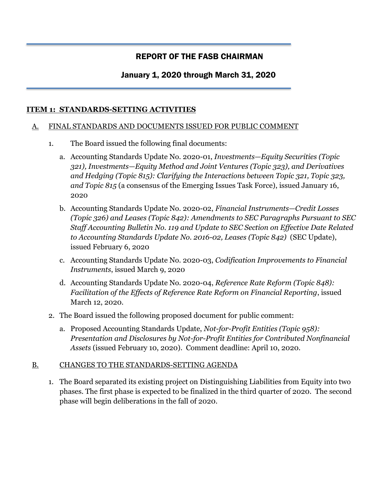# REPORT OF THE FASB CHAIRMAN

# January 1, 2020 through March 31, 2020

## **ITEM 1: STANDARDS-SETTING ACTIVITIES**

#### A. FINAL STANDARDS AND DOCUMENTS ISSUED FOR PUBLIC COMMENT

- 1. The Board issued the following final documents:
	- a. Accounting Standards Update No. 2020-01, *Investments—Equity Securities (Topic 321), Investments—Equity Method and Joint Ventures (Topic 323), and Derivatives and Hedging (Topic 815): Clarifying the Interactions between Topic 321, Topic 323, and Topic 815* (a consensus of the Emerging Issues Task Force), issued January 16, 2020
	- b. Accounting Standards Update No. 2020-02, *Financial Instruments—Credit Losses (Topic 326) and Leases (Topic 842): Amendments to SEC Paragraphs Pursuant to SEC Staff Accounting Bulletin No. 119 and Update to SEC Section on Effective Date Related to Accounting Standards Update No. 2016-02, Leases (Topic 842)* (SEC Update), issued February 6, 2020
	- c. Accounting Standards Update No. 2020-03, *Codification Improvements to Financial Instruments*, issued March 9, 2020
	- d. Accounting Standards Update No. 2020-04, *Reference Rate Reform (Topic 848): Facilitation of the Effects of Reference Rate Reform on Financial Reporting*, issued March 12, 2020.
- 2. The Board issued the following proposed document for public comment:
	- a. Proposed Accounting Standards Update, *Not-for-Profit Entities (Topic 958): Presentation and Disclosures by Not-for-Profit Entities for Contributed Nonfinancial Assets* (issued February 10, 2020). Comment deadline: April 10, 2020.

#### B. CHANGES TO THE STANDARDS-SETTING AGENDA

1. The Board separated its existing project on Distinguishing Liabilities from Equity into two phases. The first phase is expected to be finalized in the third quarter of 2020. The second phase will begin deliberations in the fall of 2020.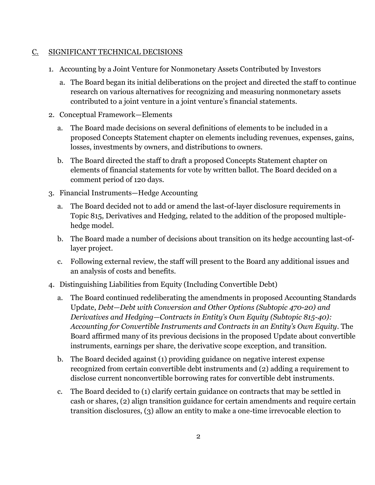#### C. SIGNIFICANT TECHNICAL DECISIONS

- 1. Accounting by a Joint Venture for Nonmonetary Assets Contributed by Investors
	- a. The Board began its initial deliberations on the project and directed the staff to continue research on various alternatives for recognizing and measuring nonmonetary assets contributed to a joint venture in a joint venture's financial statements.
- 2. Conceptual Framework—Elements
	- a. The Board made decisions on several definitions of elements to be included in a proposed Concepts Statement chapter on elements including revenues, expenses, gains, losses, investments by owners, and distributions to owners.
	- b. The Board directed the staff to draft a proposed Concepts Statement chapter on elements of financial statements for vote by written ballot. The Board decided on a comment period of 120 days.
- 3. Financial Instruments—Hedge Accounting
	- a. The Board decided not to add or amend the last-of-layer disclosure requirements in Topic 815, Derivatives and Hedging, related to the addition of the proposed multiplehedge model.
	- b. The Board made a number of decisions about transition on its hedge accounting last-oflayer project.
	- c. Following external review, the staff will present to the Board any additional issues and an analysis of costs and benefits.
- 4. Distinguishing Liabilities from Equity (Including Convertible Debt)
	- a. The Board continued redeliberating the amendments in proposed Accounting Standards Update, *Debt—Debt with Conversion and Other Options (Subtopic 470-20) and Derivatives and Hedging—Contracts in Entity's Own Equity (Subtopic 815-40): Accounting for Convertible Instruments and Contracts in an Entity's Own Equity*. The Board affirmed many of its previous decisions in the proposed Update about convertible instruments, earnings per share, the derivative scope exception, and transition.
	- b. The Board decided against (1) providing guidance on negative interest expense recognized from certain convertible debt instruments and (2) adding a requirement to disclose current nonconvertible borrowing rates for convertible debt instruments.
	- c. The Board decided to (1) clarify certain guidance on contracts that may be settled in cash or shares, (2) align transition guidance for certain amendments and require certain transition disclosures, (3) allow an entity to make a one-time irrevocable election to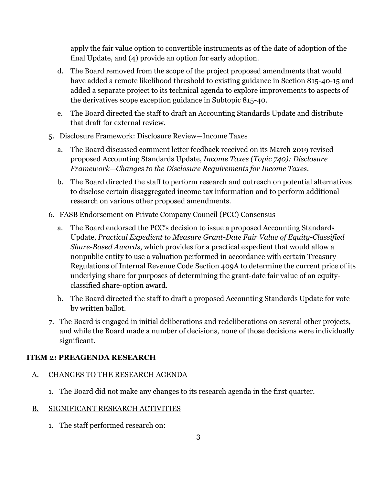apply the fair value option to convertible instruments as of the date of adoption of the final Update, and (4) provide an option for early adoption.

- d. The Board removed from the scope of the project proposed amendments that would have added a remote likelihood threshold to existing guidance in Section 815-40-15 and added a separate project to its technical agenda to explore improvements to aspects of the derivatives scope exception guidance in Subtopic 815-40.
- e. The Board directed the staff to draft an Accounting Standards Update and distribute that draft for external review.
- 5. Disclosure Framework: Disclosure Review—Income Taxes
	- a. The Board discussed comment letter feedback received on its March 2019 revised proposed Accounting Standards Update, *Income Taxes (Topic 740): Disclosure Framework—Changes to the Disclosure Requirements for Income Taxes.*
	- b. The Board directed the staff to perform research and outreach on potential alternatives to disclose certain disaggregated income tax information and to perform additional research on various other proposed amendments.
- 6. FASB Endorsement on Private Company Council (PCC) Consensus
	- a. The Board endorsed the PCC's decision to issue a proposed Accounting Standards Update, *Practical Expedient to Measure Grant-Date Fair Value of Equity-Classified Share-Based Awards*, which provides for a practical expedient that would allow a nonpublic entity to use a valuation performed in accordance with certain Treasury Regulations of Internal Revenue Code Section 409A to determine the current price of its underlying share for purposes of determining the grant-date fair value of an equityclassified share-option award.
	- b. The Board directed the staff to draft a proposed Accounting Standards Update for vote by written ballot.
- 7. The Board is engaged in initial deliberations and redeliberations on several other projects, and while the Board made a number of decisions, none of those decisions were individually significant.

#### **ITEM 2: PREAGENDA RESEARCH**

#### A. CHANGES TO THE RESEARCH AGENDA

- 1. The Board did not make any changes to its research agenda in the first quarter.
- B. SIGNIFICANT RESEARCH ACTIVITIES
	- 1. The staff performed research on: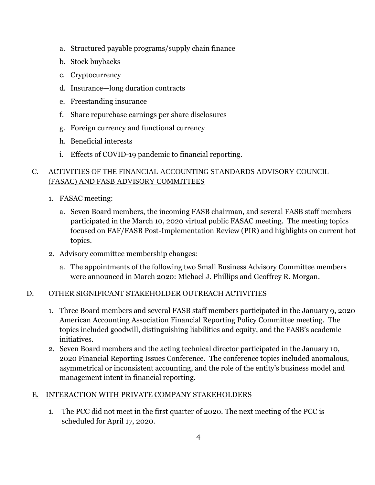- a. Structured payable programs/supply chain finance
- b. Stock buybacks
- c. Cryptocurrency
- d. Insurance—long duration contracts
- e. Freestanding insurance
- f. Share repurchase earnings per share disclosures
- g. Foreign currency and functional currency
- h. Beneficial interests
- i. Effects of COVID-19 pandemic to financial reporting.

# C. ACTIVITIES OF THE FINANCIAL ACCOUNTING STANDARDS ADVISORY COUNCIL (FASAC) AND FASB ADVISORY COMMITTEES

- 1. FASAC meeting:
	- a. Seven Board members, the incoming FASB chairman, and several FASB staff members participated in the March 10, 2020 virtual public FASAC meeting. The meeting topics focused on FAF/FASB Post-Implementation Review (PIR) and highlights on current hot topics.
- 2. Advisory committee membership changes:
	- a. The appointments of the following two Small Business Advisory Committee members were announced in March 2020: Michael J. Phillips and Geoffrey R. Morgan.

#### D. OTHER SIGNIFICANT STAKEHOLDER OUTREACH ACTIVITIES

- 1. Three Board members and several FASB staff members participated in the January 9, 2020 American Accounting Association Financial Reporting Policy Committee meeting. The topics included goodwill, distinguishing liabilities and equity, and the FASB's academic initiatives.
- 2. Seven Board members and the acting technical director participated in the January 10, 2020 Financial Reporting Issues Conference. The conference topics included anomalous, asymmetrical or inconsistent accounting, and the role of the entity's business model and management intent in financial reporting.

#### E. INTERACTION WITH PRIVATE COMPANY STAKEHOLDERS

1. The PCC did not meet in the first quarter of 2020. The next meeting of the PCC is scheduled for April 17, 2020.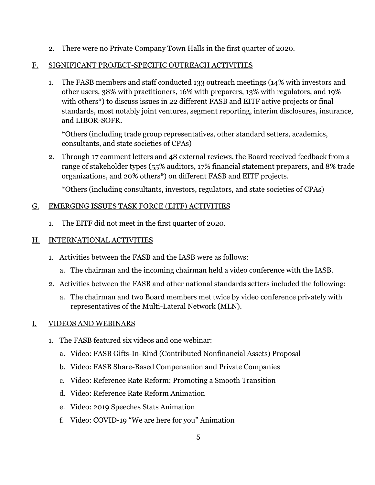2. There were no Private Company Town Halls in the first quarter of 2020.

# F. SIGNIFICANT PROJECT-SPECIFIC OUTREACH ACTIVITIES

1. The FASB members and staff conducted 133 outreach meetings (14% with investors and other users, 38% with practitioners, 16% with preparers, 13% with regulators, and 19% with others\*) to discuss issues in 22 different FASB and EITF active projects or final standards, most notably joint ventures, segment reporting, interim disclosures, insurance, and LIBOR-SOFR.

\*Others (including trade group representatives, other standard setters, academics, consultants, and state societies of CPAs)

2. Through 17 comment letters and 48 external reviews, the Board received feedback from a range of stakeholder types (55% auditors, 17% financial statement preparers, and 8% trade organizations, and 20% others\*) on different FASB and EITF projects.

\*Others (including consultants, investors, regulators, and state societies of CPAs)

## G. EMERGING ISSUES TASK FORCE (EITF) ACTIVITIES

1. The EITF did not meet in the first quarter of 2020.

# H. INTERNATIONAL ACTIVITIES

- 1. Activities between the FASB and the IASB were as follows:
	- a. The chairman and the incoming chairman held a video conference with the IASB.
- 2. Activities between the FASB and other national standards setters included the following:
	- a. The chairman and two Board members met twice by video conference privately with representatives of the Multi-Lateral Network (MLN).

# I. VIDEOS AND WEBINARS

- 1. The FASB featured six videos and one webinar:
	- a. Video: FASB Gifts-In-Kind (Contributed Nonfinancial Assets) Proposal
	- b. Video: FASB Share-Based Compensation and Private Companies
	- c. Video: Reference Rate Reform: Promoting a Smooth Transition
	- d. Video: Reference Rate Reform Animation
	- e. Video: 2019 Speeches Stats Animation
	- f. Video: COVID-19 "We are here for you" Animation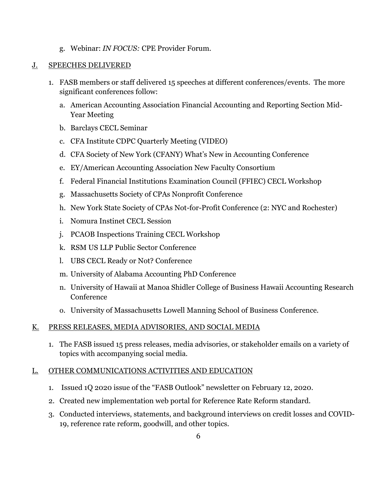g. Webinar: *IN FOCUS:* CPE Provider Forum.

#### J. SPEECHES DELIVERED

- 1. FASB members or staff delivered 15 speeches at different conferences/events. The more significant conferences follow:
	- a. American Accounting Association Financial Accounting and Reporting Section Mid-Year Meeting
	- b. Barclays CECL Seminar
	- c. CFA Institute CDPC Quarterly Meeting (VIDEO)
	- d. CFA Society of New York (CFANY) What's New in Accounting Conference
	- e. EY/American Accounting Association New Faculty Consortium
	- f. Federal Financial Institutions Examination Council (FFIEC) CECL Workshop
	- g. Massachusetts Society of CPAs Nonprofit Conference
	- h. New York State Society of CPAs Not-for-Profit Conference (2: NYC and Rochester)
	- i. Nomura Instinet CECL Session
	- j. PCAOB Inspections Training CECL Workshop
	- k. RSM US LLP Public Sector Conference
	- l. UBS CECL Ready or Not? Conference
	- m. University of Alabama Accounting PhD Conference
	- n. University of Hawaii at Manoa Shidler College of Business Hawaii Accounting Research Conference
	- o. University of Massachusetts Lowell Manning School of Business Conference.

# K. PRESS RELEASES, MEDIA ADVISORIES, AND SOCIAL MEDIA

1. The FASB issued 15 press releases, media advisories, or stakeholder emails on a variety of topics with accompanying social media.

#### L. OTHER COMMUNICATIONS ACTIVITIES AND EDUCATION

- 1. Issued 1Q 2020 issue of the "FASB Outlook" newsletter on February 12, 2020.
- 2. Created new implementation web portal for Reference Rate Reform standard.
- 3. Conducted interviews, statements, and background interviews on credit losses and COVID-19, reference rate reform, goodwill, and other topics.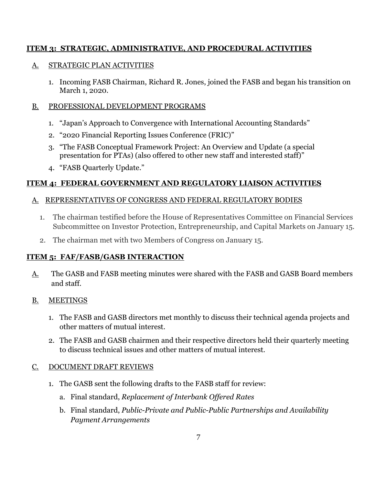## **ITEM 3: STRATEGIC, ADMINISTRATIVE, AND PROCEDURAL ACTIVITIES**

## A. STRATEGIC PLAN ACTIVITIES

1. Incoming FASB Chairman, Richard R. Jones, joined the FASB and began his transition on March 1, 2020.

## B. PROFESSIONAL DEVELOPMENT PROGRAMS

- 1. "Japan's Approach to Convergence with International Accounting Standards"
- 2. "2020 Financial Reporting Issues Conference (FRIC)"
- 3. "The FASB Conceptual Framework Project: An Overview and Update (a special presentation for PTAs) (also offered to other new staff and interested staff)"
- 4. "FASB Quarterly Update."

# **ITEM 4: FEDERAL GOVERNMENT AND REGULATORY LIAISON ACTIVITIES**

## A. REPRESENTATIVES OF CONGRESS AND FEDERAL REGULATORY BODIES

- 1. The chairman testified before the House of Representatives Committee on Financial Services Subcommittee on Investor Protection, Entrepreneurship, and Capital Markets on January 15.
- 2. The chairman met with two Members of Congress on January 15.

# **ITEM 5: FAF/FASB/GASB INTERACTION**

- A. The GASB and FASB meeting minutes were shared with the FASB and GASB Board members and staff.
- B. MEETINGS
	- 1. The FASB and GASB directors met monthly to discuss their technical agenda projects and other matters of mutual interest.
	- 2. The FASB and GASB chairmen and their respective directors held their quarterly meeting to discuss technical issues and other matters of mutual interest.

# C. DOCUMENT DRAFT REVIEWS

- 1. The GASB sent the following drafts to the FASB staff for review:
	- a. Final standard, *Replacement of Interbank Offered Rates*
	- b. Final standard, *Public-Private and Public-Public Partnerships and Availability Payment Arrangements*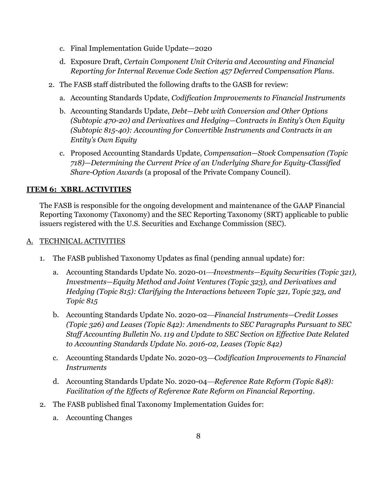- c. Final Implementation Guide Update—2020
- d. Exposure Draft, *Certain Component Unit Criteria and Accounting and Financial Reporting for Internal Revenue Code Section 457 Deferred Compensation Plans.*
- 2. The FASB staff distributed the following drafts to the GASB for review:
	- a. Accounting Standards Update, *Codification Improvements to Financial Instruments*
	- b. Accounting Standards Update, *Debt—Debt with Conversion and Other Options (Subtopic 470-20) and Derivatives and Hedging—Contracts in Entity's Own Equity (Subtopic 815-40): Accounting for Convertible Instruments and Contracts in an Entity's Own Equity*
	- c. Proposed Accounting Standards Update, *Compensation—Stock Compensation (Topic 718)—Determining the Current Price of an Underlying Share for Equity-Classified Share-Option Awards* (a proposal of the Private Company Council).

## **ITEM 6: XBRL ACTIVITIES**

The FASB is responsible for the ongoing development and maintenance of the GAAP Financial Reporting Taxonomy (Taxonomy) and the SEC Reporting Taxonomy (SRT) applicable to public issuers registered with the U.S. Securities and Exchange Commission (SEC).

## A. TECHNICAL ACTIVITIES

- 1. The FASB published Taxonomy Updates as final (pending annual update) for:
	- a. Accounting Standards Update No. 2020-01—*Investments—Equity Securities (Topic 321)*, *Investments—Equity Method and Joint Ventures (Topic 323), and Derivatives and Hedging (Topic 815): Clarifying the Interactions between Topic 321, Topic 323, and Topic 815*
	- b. Accounting Standards Update No. 2020-02⎯*Financial Instruments—Credit Losses (Topic 326) and Leases (Topic 842): Amendments to SEC Paragraphs Pursuant to SEC Staff Accounting Bulletin No. 119 and Update to SEC Section on Effective Date Related to Accounting Standards Update No. 2016-02, Leases (Topic 842)*
	- c. Accounting Standards Update No. 2020-03—*Codification Improvements to Financial Instruments*
	- d. Accounting Standards Update No. 2020-04—*Reference Rate Reform (Topic 848): Facilitation of the Effects of Reference Rate Reform on Financial Reporting.*
- 2. The FASB published final Taxonomy Implementation Guides for:
	- a. Accounting Changes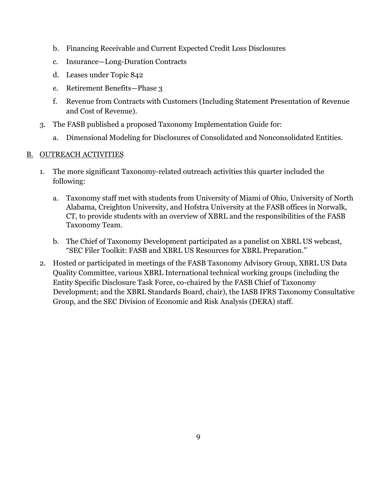- b. Financing Receivable and Current Expected Credit Loss Disclosures
- c. Insurance—Long-Duration Contracts
- d. Leases under Topic 842
- e. Retirement Benefits—Phase 3
- f. Revenue from Contracts with Customers (Including Statement Presentation of Revenue and Cost of Revenue).
- 3. The FASB published a proposed Taxonomy Implementation Guide for:
	- a. Dimensional Modeling for Disclosures of Consolidated and Nonconsolidated Entities.

#### B. OUTREACH ACTIVITIES

- 1. The more significant Taxonomy-related outreach activities this quarter included the following:
	- a. Taxonomy staff met with students from University of Miami of Ohio, University of North Alabama, Creighton University, and Hofstra University at the FASB offices in Norwalk, CT, to provide students with an overview of XBRL and the responsibilities of the FASB Taxonomy Team.
	- b. The Chief of Taxonomy Development participated as a panelist on XBRL US webcast, "SEC Filer Toolkit: FASB and XBRL US Resources for XBRL Preparation."
- 2. Hosted or participated in meetings of the FASB Taxonomy Advisory Group, XBRL US Data Quality Committee, various XBRL International technical working groups (including the Entity Specific Disclosure Task Force, co-chaired by the FASB Chief of Taxonomy Development; and the XBRL Standards Board, chair), the IASB IFRS Taxonomy Consultative Group, and the SEC Division of Economic and Risk Analysis (DERA) staff.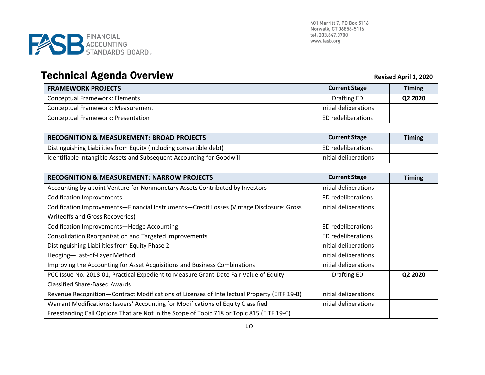

# **Technical Agenda Overview <br>
Revised April 1, 2020**

| <b>FRAMEWORK PROJECTS</b>                 | <b>Current Stage</b>  | <b>Timing</b> |
|-------------------------------------------|-----------------------|---------------|
| <b>Conceptual Framework: Elements</b>     | Drafting ED           | Q2 2020       |
| Conceptual Framework: Measurement         | Initial deliberations |               |
| <b>Conceptual Framework: Presentation</b> | ED redeliberations    |               |

| <b>RECOGNITION &amp; MEASUREMENT: BROAD PROJECTS</b>                  | <b>Current Stage</b>  | <b>Timing</b> |
|-----------------------------------------------------------------------|-----------------------|---------------|
| Distinguishing Liabilities from Equity (including convertible debt)   | ED redeliberations    |               |
| Identifiable Intangible Assets and Subsequent Accounting for Goodwill | Initial deliberations |               |

| <b>RECOGNITION &amp; MEASUREMENT: NARROW PROJECTS</b>                                       | <b>Current Stage</b>  | <b>Timing</b> |
|---------------------------------------------------------------------------------------------|-----------------------|---------------|
| Accounting by a Joint Venture for Nonmonetary Assets Contributed by Investors               | Initial deliberations |               |
| <b>Codification Improvements</b>                                                            | ED redeliberations    |               |
| Codification Improvements-Financial Instruments-Credit Losses (Vintage Disclosure: Gross    | Initial deliberations |               |
| <b>Writeoffs and Gross Recoveries)</b>                                                      |                       |               |
| Codification Improvements-Hedge Accounting                                                  | ED redeliberations    |               |
| <b>Consolidation Reorganization and Targeted Improvements</b>                               | ED redeliberations    |               |
| Distinguishing Liabilities from Equity Phase 2                                              | Initial deliberations |               |
| Hedging-Last-of-Layer Method                                                                | Initial deliberations |               |
| Improving the Accounting for Asset Acquisitions and Business Combinations                   | Initial deliberations |               |
| PCC Issue No. 2018-01, Practical Expedient to Measure Grant-Date Fair Value of Equity-      | Drafting ED           | Q2 2020       |
| <b>Classified Share-Based Awards</b>                                                        |                       |               |
| Revenue Recognition-Contract Modifications of Licenses of Intellectual Property (EITF 19-B) | Initial deliberations |               |
| Warrant Modifications: Issuers' Accounting for Modifications of Equity Classified           | Initial deliberations |               |
| Freestanding Call Options That are Not in the Scope of Topic 718 or Topic 815 (EITF 19-C)   |                       |               |